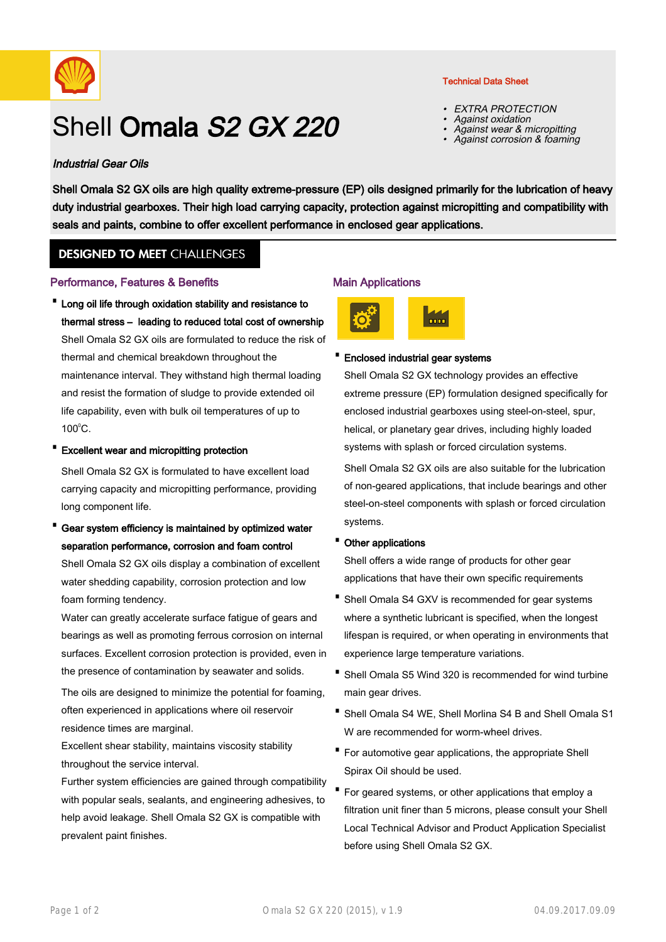

# Shell Omala S<sub>2</sub> GX 220

#### Industrial Gear Oils

Shell Omala S2 GX oils are high quality extreme-pressure (EP) oils designed primarily for the lubrication of heavy duty industrial gearboxes. Their high load carrying capacity, protection against micropitting and compatibility with seals and paints, combine to offer excellent performance in enclosed gear applications.

### **DESIGNED TO MEET CHALLENGES**

#### Performance, Features & Benefits

- Long oil life through oxidation stability and resistance to thermal stress – leading to reduced total cost of ownership Shell Omala S2 GX oils are formulated to reduce the risk of thermal and chemical breakdown throughout the maintenance interval. They withstand high thermal loading and resist the formation of sludge to provide extended oil life capability, even with bulk oil temperatures of up to  $100^{\circ}$ C.
- · Excellent wear and micropitting protection

Shell Omala S2 GX is formulated to have excellent load carrying capacity and micropitting performance, providing long component life.

Gear system efficiency is maintained by optimized water separation performance, corrosion and foam control · Shell Omala S2 GX oils display a combination of excellent water shedding capability, corrosion protection and low foam forming tendency.

Water can greatly accelerate surface fatigue of gears and bearings as well as promoting ferrous corrosion on internal surfaces. Excellent corrosion protection is provided, even in the presence of contamination by seawater and solids.

The oils are designed to minimize the potential for foaming, often experienced in applications where oil reservoir residence times are marginal.

Excellent shear stability, maintains viscosity stability throughout the service interval.

Further system efficiencies are gained through compatibility with popular seals, sealants, and engineering adhesives, to help avoid leakage. Shell Omala S2 GX is compatible with prevalent paint finishes.

#### Main Applications



#### · Enclosed industrial gear systems

Shell Omala S2 GX technology provides an effective extreme pressure (EP) formulation designed specifically for enclosed industrial gearboxes using steel-on-steel, spur, helical, or planetary gear drives, including highly loaded systems with splash or forced circulation systems.

Shell Omala S2 GX oils are also suitable for the lubrication of non-geared applications, that include bearings and other steel-on-steel components with splash or forced circulation systems.

#### · Other applications

Shell offers a wide range of products for other gear applications that have their own specific requirements

- Shell Omala S4 GXV is recommended for gear systems where a synthetic lubricant is specified, when the longest lifespan is required, or when operating in environments that experience large temperature variations.
- Shell Omala S5 Wind 320 is recommended for wind turbine main gear drives.
- Shell Omala S4 WE, Shell Morlina S4 B and Shell Omala S1 W are recommended for worm-wheel drives.
- For automotive gear applications, the appropriate Shell · Spirax Oil should be used.
- For geared systems, or other applications that employ a filtration unit finer than 5 microns, please consult your Shell Local Technical Advisor and Product Application Specialist before using Shell Omala S2 GX.

#### Technical Data Sheet

- •EXTRA PROTECTION
- •Against oxidation
- •Against wear & micropitting
- •Against corrosion & foaming